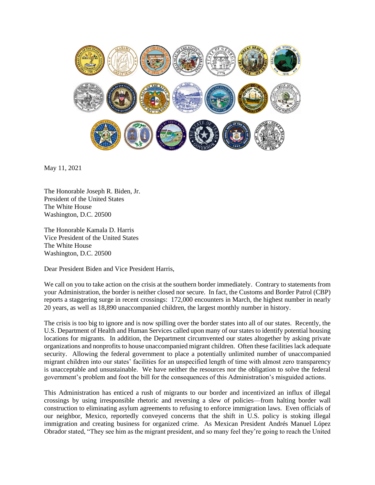

May 11, 2021

The Honorable Joseph R. Biden, Jr. President of the United States The White House Washington, D.C. 20500

The Honorable Kamala D. Harris Vice President of the United States The White House Washington, D.C. 20500

Dear President Biden and Vice President Harris,

We call on you to take action on the crisis at the southern border immediately. Contrary to statements from your Administration, the border is neither closed nor secure. In fact, the Customs and Border Patrol (CBP) reports a staggering surge in recent crossings: 172,000 encounters in March, the highest number in nearly 20 years, as well as 18,890 unaccompanied children, the largest monthly number in history.

The crisis is too big to ignore and is now spilling over the border states into all of our states. Recently, the U.S. Department of Health and Human Services called upon many of our states to identify potential housing locations for migrants. In addition, the Department circumvented our states altogether by asking private organizations and nonprofits to house unaccompanied migrant children. Often these facilities lack adequate security. Allowing the federal government to place a potentially unlimited number of unaccompanied migrant children into our states' facilities for an unspecified length of time with almost zero transparency is unacceptable and unsustainable. We have neither the resources nor the obligation to solve the federal government's problem and foot the bill for the consequences of this Administration's misguided actions.

This Administration has enticed a rush of migrants to our border and incentivized an influx of illegal crossings by using irresponsible rhetoric and reversing a slew of policies—from halting border wall construction to eliminating asylum agreements to refusing to enforce immigration laws. Even officials of our neighbor, Mexico, reportedly conveyed concerns that the shift in U.S. policy is stoking illegal immigration and creating business for organized crime. As Mexican President Andrés Manuel López Obrador stated, "They see him as the migrant president, and so many feel they're going to reach the United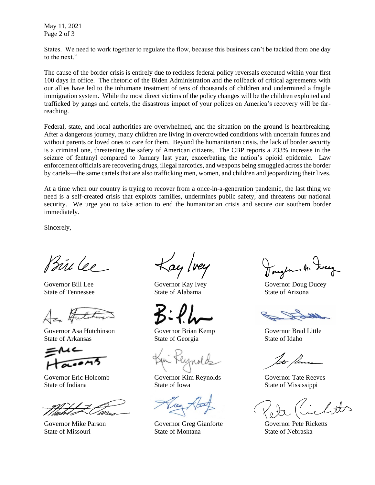May 11, 2021 Page 2 of 3

States. We need to work together to regulate the flow, because this business can't be tackled from one day to the next."

The cause of the border crisis is entirely due to reckless federal policy reversals executed within your first 100 days in office. The rhetoric of the Biden Administration and the rollback of critical agreements with our allies have led to the inhumane treatment of tens of thousands of children and undermined a fragile immigration system. While the most direct victims of the policy changes will be the children exploited and trafficked by gangs and cartels, the disastrous impact of your polices on America's recovery will be farreaching.

Federal, state, and local authorities are overwhelmed, and the situation on the ground is heartbreaking. After a dangerous journey, many children are living in overcrowded conditions with uncertain futures and without parents or loved ones to care for them. Beyond the humanitarian crisis, the lack of border security is a criminal one, threatening the safety of American citizens. The CBP reports a 233% increase in the seizure of fentanyl compared to January last year, exacerbating the nation's opioid epidemic. Law enforcement officials are recovering drugs, illegal narcotics, and weapons being smuggled across the border by cartels—the same cartels that are also trafficking men, women, and children and jeopardizing their lives.

At a time when our country is trying to recover from a once-in-a-generation pandemic, the last thing we need is a self-created crisis that exploits families, undermines public safety, and threatens our national security. We urge you to take action to end the humanitarian crisis and secure our southern border immediately.

Sincerely,

Prince.

Governor Asa Hutchinson Governor Brian Kemp Governor Brad Little State of Arkansas State of Georgia State of Idaho



ay /vey

State of Tennessee State of Alabama State of Arizona

Governor Eric Holcomb Governor Kim Reynolds Governor Tate Reeves State of Indiana State of Iowa State of Mississippi

Governor Mike Parson Governor Greg Gianforte Governor Pete Ricketts State of Missouri State of Montana State of Nebraska

Governor Bill Lee Governor Kay Ivey Governor Doug Ducey